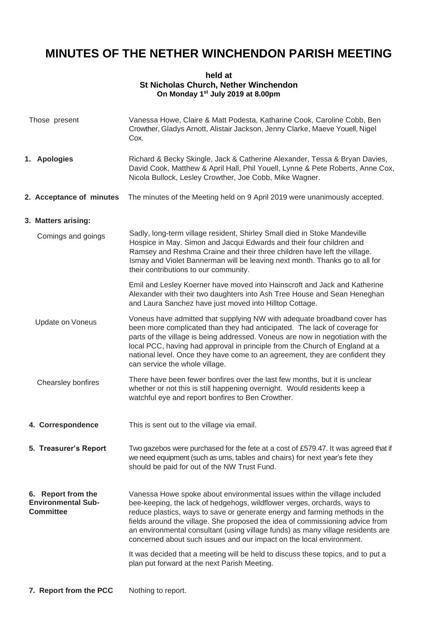## **MINUTES OF THE NETHER WINCHENDON PARISH MEETING**

## **held at St Nicholas Church, Nether Winchendon On Monday 1st July 2019 at 8.00pm**

| Those present     |                                                                     | Vanessa Howe, Claire & Matt Podesta, Katharine Cook, Caroline Cobb, Ben<br>Crowther, Gladys Arnott, Alistair Jackson, Jenny Clarke, Maeve Youell, Nigel<br>Cox.                                                                                                                                                                                                                                                                                                                                                                                                                                                      |
|-------------------|---------------------------------------------------------------------|----------------------------------------------------------------------------------------------------------------------------------------------------------------------------------------------------------------------------------------------------------------------------------------------------------------------------------------------------------------------------------------------------------------------------------------------------------------------------------------------------------------------------------------------------------------------------------------------------------------------|
|                   | 1. Apologies                                                        | Richard & Becky Skingle, Jack & Catherine Alexander, Tessa & Bryan Davies,<br>David Cook, Matthew & April Hall, Phil Youell, Lynne & Pete Roberts, Anne Cox,<br>Nicola Bullock, Lesley Crowther, Joe Cobb, Mike Wagner.                                                                                                                                                                                                                                                                                                                                                                                              |
|                   | 2. Acceptance of minutes                                            | The minutes of the Meeting held on 9 April 2019 were unanimously accepted.                                                                                                                                                                                                                                                                                                                                                                                                                                                                                                                                           |
|                   | 3. Matters arising:                                                 |                                                                                                                                                                                                                                                                                                                                                                                                                                                                                                                                                                                                                      |
|                   | Comings and goings                                                  | Sadly, long-term village resident, Shirley Small died in Stoke Mandeville<br>Hospice in May. Simon and Jacqui Edwards and their four children and<br>Ramsey and Reshma Craine and their three children have left the village.<br>Ismay and Violet Bannerman will be leaving next month. Thanks go to all for<br>their contributions to our community.                                                                                                                                                                                                                                                                |
|                   |                                                                     | Emil and Lesley Koerner have moved into Hainscroft and Jack and Katherine<br>Alexander with their two daughters into Ash Tree House and Sean Heneghan<br>and Laura Sanchez have just moved into Hilltop Cottage.                                                                                                                                                                                                                                                                                                                                                                                                     |
|                   | Update on Voneus                                                    | Voneus have admitted that supplying NW with adequate broadband cover has<br>been more complicated than they had anticipated. The lack of coverage for<br>parts of the village is being addressed. Voneus are now in negotiation with the<br>local PCC, having had approval in principle from the Church of England at a<br>national level. Once they have come to an agreement, they are confident they<br>can service the whole village.                                                                                                                                                                            |
|                   | Chearsley bonfires                                                  | There have been fewer bonfires over the last few months, but it is unclear<br>whether or not this is still happening overnight. Would residents keep a<br>watchful eye and report bonfires to Ben Crowther.                                                                                                                                                                                                                                                                                                                                                                                                          |
| 4. Correspondence |                                                                     | This is sent out to the village via email.                                                                                                                                                                                                                                                                                                                                                                                                                                                                                                                                                                           |
|                   | 5. Treasurer's Report                                               | Two gazebos were purchased for the fete at a cost of £579.47. It was agreed that if<br>we need equipment (such as urns, tables and chairs) for next year's fete they<br>should be paid for out of the NW Trust Fund.                                                                                                                                                                                                                                                                                                                                                                                                 |
|                   | 6. Report from the<br><b>Environmental Sub-</b><br><b>Committee</b> | Vanessa Howe spoke about environmental issues within the village included<br>bee-keeping, the lack of hedgehogs, wildflower verges, orchards, ways to<br>reduce plastics, ways to save or generate energy and farming methods in the<br>fields around the village. She proposed the idea of commissioning advice from<br>an environmental consultant (using village funds) as many village residents are<br>concerned about such issues and our impact on the local environment.<br>It was decided that a meeting will be held to discuss these topics, and to put a<br>plan put forward at the next Parish Meeting. |